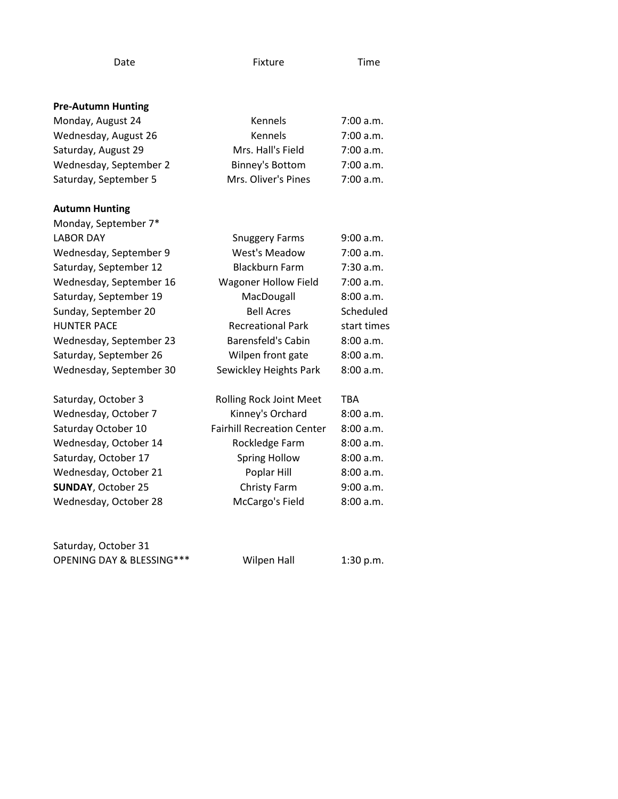|--|

Fixture Time

| <b>Pre-Autumn Hunting</b> |  |
|---------------------------|--|
|---------------------------|--|

| Monday, August 24         | Kennels                           | 7:00 a.m.   |
|---------------------------|-----------------------------------|-------------|
| Wednesday, August 26      | <b>Kennels</b>                    | 7:00 a.m.   |
| Saturday, August 29       | Mrs. Hall's Field                 | 7:00 a.m.   |
| Wednesday, September 2    | <b>Binney's Bottom</b>            | 7:00 a.m.   |
| Saturday, September 5     | Mrs. Oliver's Pines               | 7:00 a.m.   |
| <b>Autumn Hunting</b>     |                                   |             |
| Monday, September 7*      |                                   |             |
| <b>LABOR DAY</b>          | <b>Snuggery Farms</b>             | 9:00 a.m.   |
| Wednesday, September 9    | <b>West's Meadow</b>              | 7:00 a.m.   |
| Saturday, September 12    | <b>Blackburn Farm</b>             | 7:30 a.m.   |
| Wednesday, September 16   | <b>Wagoner Hollow Field</b>       | 7:00 a.m.   |
| Saturday, September 19    | MacDougall                        | 8:00 a.m.   |
| Sunday, September 20      | <b>Bell Acres</b>                 | Scheduled   |
| <b>HUNTER PACE</b>        | <b>Recreational Park</b>          | start times |
| Wednesday, September 23   | <b>Barensfeld's Cabin</b>         | 8:00 a.m.   |
| Saturday, September 26    | Wilpen front gate                 | 8:00 a.m.   |
| Wednesday, September 30   | Sewickley Heights Park            | 8:00 a.m.   |
|                           |                                   |             |
| Saturday, October 3       | <b>Rolling Rock Joint Meet</b>    | <b>TBA</b>  |
| Wednesday, October 7      | Kinney's Orchard                  | 8:00 a.m.   |
| Saturday October 10       | <b>Fairhill Recreation Center</b> | 8:00 a.m.   |
| Wednesday, October 14     | Rockledge Farm                    | 8:00 a.m.   |
| Saturday, October 17      | <b>Spring Hollow</b>              | 8:00 a.m.   |
| Wednesday, October 21     | Poplar Hill                       | 8:00 a.m.   |
| <b>SUNDAY, October 25</b> | Christy Farm                      | 9:00 a.m.   |
| Wednesday, October 28     | McCargo's Field                   | 8:00 a.m.   |
|                           |                                   |             |

Saturday, October 31 OPENING DAY & BLESSING\*\*\* Wilpen Hall 1:30 p.m.